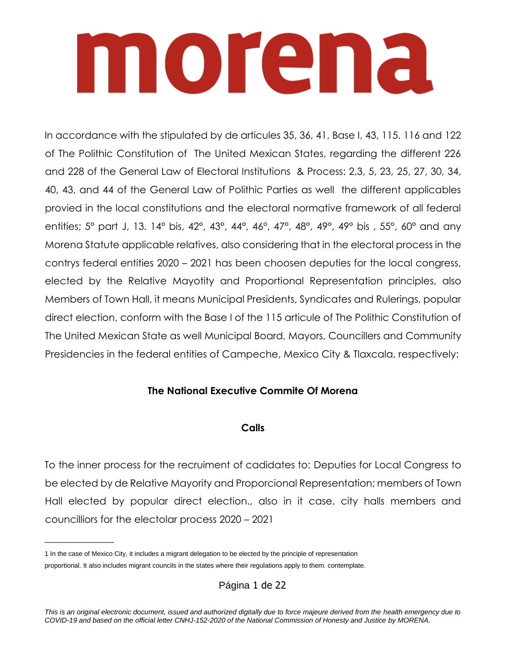### nnorena

In accordance with the stipulated by de articules 35, 36, 41, Base I, 43, 115. 116 and 122 of The Polithic Constitution of The United Mexican States, regarding the different 226 and 228 of the General Law of Electoral Institutions & Process: 2,3, 5, 23, 25, 27, 30, 34, 40, 43, and 44 of the General Law of Polithic Parties as well the different applicables provied in the local constitutions and the electoral normative framework of all federal entities; 5° part J, 13. 14° bis, 42°, 43°, 44°, 46°, 47°, 48°, 49°, 49° bis , 55°, 60° and any Morena Statute applicable relatives, also considering that in the electoral process in the contrys federal entities 2020 – 2021 has been choosen deputies for the local congress, elected by the Relative Mayotity and Proportional Representation principles, also Members of Town Hall, it means Municipal Presidents, Syndicates and Rulerings, popular direct election, conform with the Base I of the 115 articule of The Polithic Constitution of The United Mexican State as well Municipal Board, Mayors, Councillers and Community Presidencies in the federal entities of Campeche, Mexico City & Tlaxcala, respectively:

### **The National Executive Commite Of Morena**

### **Calls**

To the inner process for the recruiment of cadidates to: Deputies for Local Congress to be elected by de Relative Mayority and Proporcional Representation; members of Town Hall elected by popular direct election., also in it case, city halls members and councilliors for the electolar process 2020 – 2021

 $\overline{\phantom{a}}$ 

Página 1 de 22

<sup>1</sup> In the case of Mexico City, it includes a migrant delegation to be elected by the principle of representation proportional. It also includes migrant councils in the states where their regulations apply to them. contemplate.

*This is an original electronic document, issued and authorized digitally due to force majeure derived from the health emergency due to COVID-19 and based on the official letter CNHJ-152-2020 of the National Commission of Honesty and Justice by MORENA.*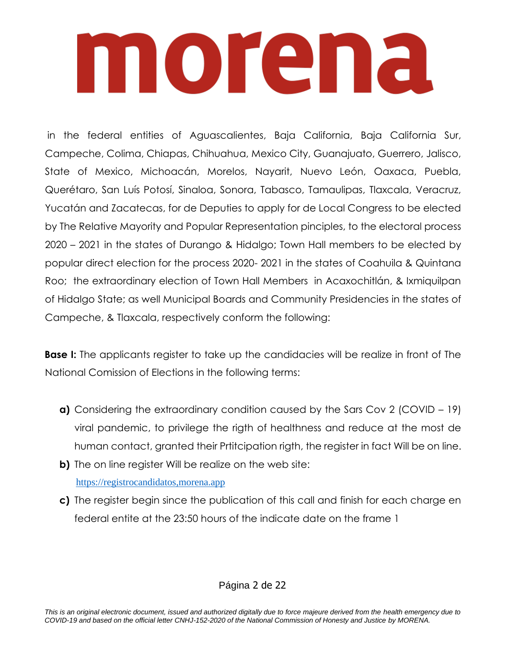in the federal entities of Aguascalientes, Baja California, Baja California Sur, Campeche, Colima, Chiapas, Chihuahua, Mexico City, Guanajuato, Guerrero, Jalisco, State of Mexico, Michoacán, Morelos, Nayarit, Nuevo León, Oaxaca, Puebla, Querétaro, San Luís Potosí, Sinaloa, Sonora, Tabasco, Tamaulipas, Tlaxcala, Veracruz, Yucatán and Zacatecas, for de Deputies to apply for de Local Congress to be elected by The Relative Mayority and Popular Representation pinciples, to the electoral process 2020 – 2021 in the states of Durango & Hidalgo; Town Hall members to be elected by popular direct election for the process 2020- 2021 in the states of Coahuila & Quintana Roo; the extraordinary election of Town Hall Members in Acaxochitlán, & Ixmiquilpan of Hidalgo State; as well Municipal Boards and Community Presidencies in the states of Campeche, & Tlaxcala, respectively conform the following:

**Base I:** The applicants register to take up the candidacies will be realize in front of The National Comission of Elections in the following terms:

- **a)** Considering the extraordinary condition caused by the Sars Cov 2 (COVID 19) viral pandemic, to privilege the rigth of healthness and reduce at the most de human contact, granted their Prtitcipation rigth, the register in fact Will be on line.
- **b)** The on line register Will be realize on the web site: [https://registrocandidatos,morena.app](https://registrocandidatos,morena.app/)
- **c)** The register begin since the publication of this call and finish for each charge en federal entite at the 23:50 hours of the indicate date on the frame 1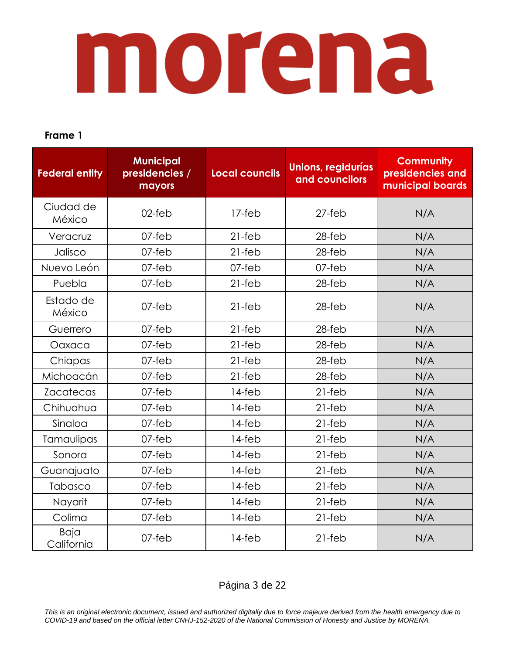### **Frame 1**

| <b>Federal entity</b> | <b>Municipal</b><br>presidencies /<br>mayors | <b>Local councils</b> | <b>Unions, regidurías</b><br>and councilors | <b>Community</b><br>presidencies and<br>municipal boards |
|-----------------------|----------------------------------------------|-----------------------|---------------------------------------------|----------------------------------------------------------|
| Ciudad de<br>México   | $02$ -feb                                    | $17-feb$              | $27$ -feb                                   | N/A                                                      |
| Veracruz              | $07$ -feb                                    | $21-feb$              | $28$ -feb                                   | N/A                                                      |
| Jalisco               | $07$ -feb                                    | $21-feb$              | $28$ -feb                                   | N/A                                                      |
| Nuevo León            | 07-feb                                       | 07-feb                | 07-feb                                      | N/A                                                      |
| Puebla                | 07-feb                                       | $21-feb$              | 28-feb                                      | N/A                                                      |
| Estado de<br>México   | $07$ -feb                                    | $21-feb$              | $28$ -feb                                   | N/A                                                      |
| Guerrero              | $07$ -feb                                    | $21-feb$              | $28$ -feb                                   | N/A                                                      |
| Oaxaca                | $07$ -feb                                    | $21-feb$              | $28$ -feb                                   | N/A                                                      |
| Chiapas               | $07$ -feb                                    | $21-feb$              | $28$ -feb                                   | N/A                                                      |
| Michoacán             | $07$ -feb                                    | $21-feb$              | $28$ -feb                                   | N/A                                                      |
| <b>Zacatecas</b>      | $07$ -feb                                    | 14-feb                | $21-feb$                                    | N/A                                                      |
| Chihuahua             | $07$ -feb                                    | 14-feb                | $21-feb$                                    | N/A                                                      |
| Sinaloa               | 07-feb                                       | 14-feb                | $21-feb$                                    | N/A                                                      |
| Tamaulipas            | 07-feb                                       | 14-feb                | $21-feb$                                    | N/A                                                      |
| Sonora                | 07-feb                                       | 14-feb                | $21-feb$                                    | N/A                                                      |
| Guanajuato            | $07$ -feb                                    | 14-feb                | $21-feb$                                    | N/A                                                      |
| Tabasco               | $07$ -feb                                    | $14$ -feb             | $21-feb$                                    | N/A                                                      |
| Nayarit               | 07-feb                                       | 14-feb                | $21-feb$                                    | N/A                                                      |
| Colima                | 07-feb                                       | 14-feb                | $21-feb$                                    | N/A                                                      |
| Baja<br>California    | $07$ -feb                                    | 14-feb                | $21-feb$                                    | N/A                                                      |

### Página 3 de 22

*This is an original electronic document, issued and authorized digitally due to force majeure derived from the health emergency due to COVID-19 and based on the official letter CNHJ-152-2020 of the National Commission of Honesty and Justice by MORENA.*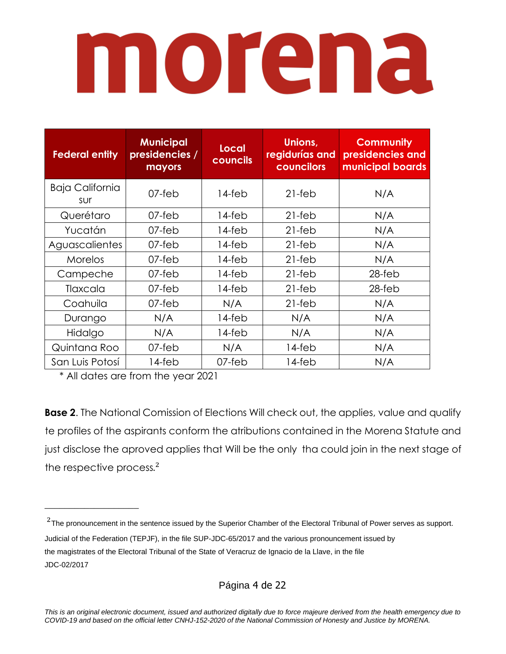| <b>Federal entity</b>         | <b>Municipal</b><br>presidencies /<br>mayors | Local<br>councils | Unions,<br>regidurías and<br>councilors | <b>Community</b><br>presidencies and<br>municipal boards |
|-------------------------------|----------------------------------------------|-------------------|-----------------------------------------|----------------------------------------------------------|
| <b>Baja California</b><br>sur | $07$ -feb                                    | $14$ -feb         | $21-feb$                                | N/A                                                      |
| Querétaro                     | 07-feb                                       | 14-feb            | $21-feb$                                | N/A                                                      |
| Yucatán                       | 07-feb                                       | $14$ -feb         | $21-feb$                                | N/A                                                      |
| Aguascalientes                | $07$ -feb                                    | $14$ -feb         | $21-feb$                                | N/A                                                      |
| Morelos                       | 07-feb                                       | $14$ -feb         | $21-feb$                                | N/A                                                      |
| Campeche                      | 07-feb                                       | 14-feb            | $21-feb$                                | 28-feb                                                   |
| Tlaxcala                      | 07-feb                                       | $14$ -feb         | $21-feb$                                | $28$ -feb                                                |
| Coahuila                      | 07-feb                                       | N/A               | $21-feb$                                | N/A                                                      |
| Durango                       | N/A                                          | $14$ -feb         | N/A                                     | N/A                                                      |
| Hidalgo                       | N/A                                          | 14-feb            | N/A                                     | N/A                                                      |
| Quintana Roo                  | 07-feb                                       | N/A               | 14-feb                                  | N/A                                                      |
| San Luis Potosí               | 14-feb                                       | 07-feb            | 14-feb                                  | N/A                                                      |

\* All dates are from the year 2021

 $\_$ 

**Base 2**. The National Comission of Elections Will check out, the applies, value and qualify te profiles of the aspirants conform the atributions contained in the Morena Statute and just disclose the aproved applies that Will be the only tha could join in the next stage of the respective process.<sup>2</sup>

Página 4 de 22

 $2$ The pronouncement in the sentence issued by the Superior Chamber of the Electoral Tribunal of Power serves as support. Judicial of the Federation (TEPJF), in the file SUP-JDC-65/2017 and the various pronouncement issued by the magistrates of the Electoral Tribunal of the State of Veracruz de Ignacio de la Llave, in the file JDC-02/2017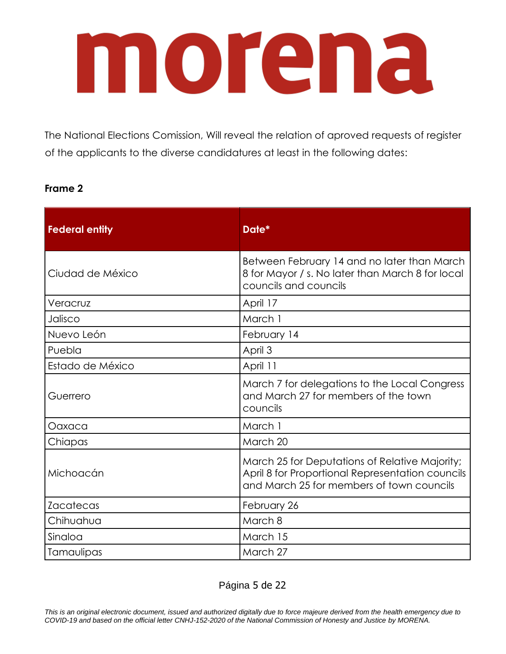The National Elections Comission, Will reveal the relation of aproved requests of register of the applicants to the diverse candidatures at least in the following dates:

### **Frame 2**

| <b>Federal entity</b> | Date*                                                                                                                                           |
|-----------------------|-------------------------------------------------------------------------------------------------------------------------------------------------|
| Ciudad de México      | Between February 14 and no later than March<br>8 for Mayor / s. No later than March 8 for local<br>councils and councils                        |
| Veracruz              | April 17                                                                                                                                        |
| Jalisco               | March 1                                                                                                                                         |
| Nuevo León            | February 14                                                                                                                                     |
| Puebla                | April 3                                                                                                                                         |
| Estado de México      | April 11                                                                                                                                        |
| Guerrero              | March 7 for delegations to the Local Congress<br>and March 27 for members of the town<br>councils                                               |
| Oaxaca                | March 1                                                                                                                                         |
| Chiapas               | March 20                                                                                                                                        |
| Michoacán             | March 25 for Deputations of Relative Majority;<br>April 8 for Proportional Representation councils<br>and March 25 for members of town councils |
| <b>Zacatecas</b>      | February 26                                                                                                                                     |
| Chihuahua             | March 8                                                                                                                                         |
| Sinaloa               | March 15                                                                                                                                        |
| Tamaulipas            | March 27                                                                                                                                        |

Página 5 de 22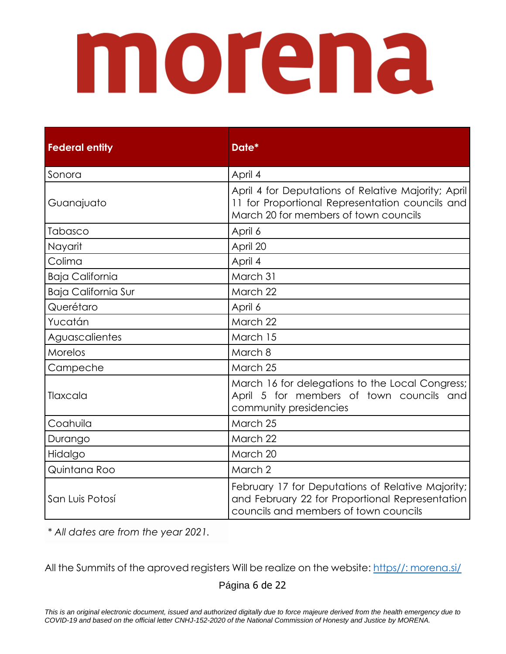| <b>Federal entity</b>      | Date*                                                                                                                                           |
|----------------------------|-------------------------------------------------------------------------------------------------------------------------------------------------|
| Sonora                     | April 4                                                                                                                                         |
| Guanajuato                 | April 4 for Deputations of Relative Majority; April<br>11 for Proportional Representation councils and<br>March 20 for members of town councils |
| Tabasco                    | April 6                                                                                                                                         |
| Nayarit                    | April 20                                                                                                                                        |
| Colima                     | April 4                                                                                                                                         |
| <b>Baja California</b>     | March 31                                                                                                                                        |
| <b>Baja California Sur</b> | March 22                                                                                                                                        |
| Querétaro                  | April 6                                                                                                                                         |
| Yucatán                    | March 22                                                                                                                                        |
| Aguascalientes             | March 15                                                                                                                                        |
| Morelos                    | March 8                                                                                                                                         |
| Campeche                   | March 25                                                                                                                                        |
| Tlaxcala                   | March 16 for delegations to the Local Congress;<br>April 5 for members of town councils and<br>community presidencies                           |
| Coahuila                   | March 25                                                                                                                                        |
| Durango                    | March 22                                                                                                                                        |
| Hidalgo                    | March 20                                                                                                                                        |
| Quintana Roo               | March 2                                                                                                                                         |
| San Luis Potosí            | February 17 for Deputations of Relative Majority;<br>and February 22 for Proportional Representation<br>councils and members of town councils   |

*\* All dates are from the year 2021.*

All the Summits of the aproved registers Will be realize on the website: [https//: morena.si/](#page-9-0)

Página 6 de 22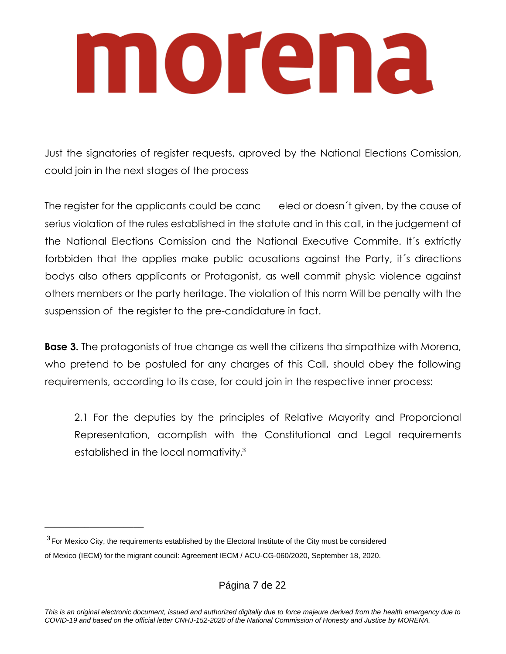## morana

Just the signatories of register requests, aproved by the National Elections Comission, could join in the next stages of the process

The register for the applicants could be canc eled or doesn't given, by the cause of serius violation of the rules established in the statute and in this call, in the judgement of the National Elections Comission and the National Executive Commite. It´s extrictly forbbiden that the applies make public acusations against the Party, it´s directions bodys also others applicants or Protagonist, as well commit physic violence against others members or the party heritage. The violation of this norm Will be penalty with the suspenssion of the register to the pre-candidature in fact.

**Base 3.** The protagonists of true change as well the citizens tha simpathize with Morena, who pretend to be postuled for any charges of this Call, should obey the following requirements, according to its case, for could join in the respective inner process:

2.1 For the deputies by the principles of Relative Mayority and Proporcional Representation, acomplish with the Constitutional and Legal requirements established in the local normativity.<sup>3</sup>

\_\_\_\_\_\_\_\_\_\_\_\_\_\_\_\_\_\_\_\_

Página 7 de 22

 $3$  For Mexico City, the requirements established by the Electoral Institute of the City must be considered of Mexico (IECM) for the migrant council: Agreement IECM / ACU-CG-060/2020, September 18, 2020.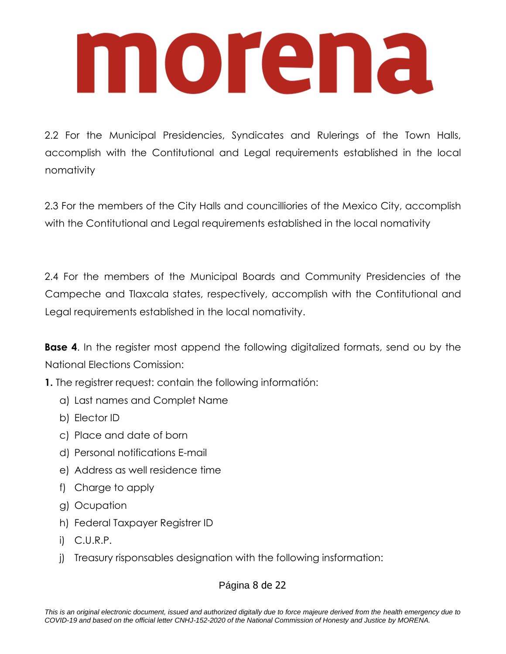2.2 For the Municipal Presidencies, Syndicates and Rulerings of the Town Halls, accomplish with the Contitutional and Legal requirements established in the local nomativity

2.3 For the members of the City Halls and councilliories of the Mexico City, accomplish with the Contitutional and Legal requirements established in the local nomativity

2.4 For the members of the Municipal Boards and Community Presidencies of the Campeche and Tlaxcala states, respectively, accomplish with the Contitutional and Legal requirements established in the local nomativity.

**Base 4.** In the register most append the following digitalized formats, send ou by the National Elections Comission:

**1.** The registrer request: contain the following informatión:

- a) Last names and Complet Name
- b) Elector ID
- c) Place and date of born
- d) Personal notifications E-mail
- e) Address as well residence time
- f) Charge to apply
- g) Ocupation
- h) Federal Taxpayer Registrer ID
- i) C.U.R.P.
- j) Treasury risponsables designation with the following insformation:

### Página 8 de 22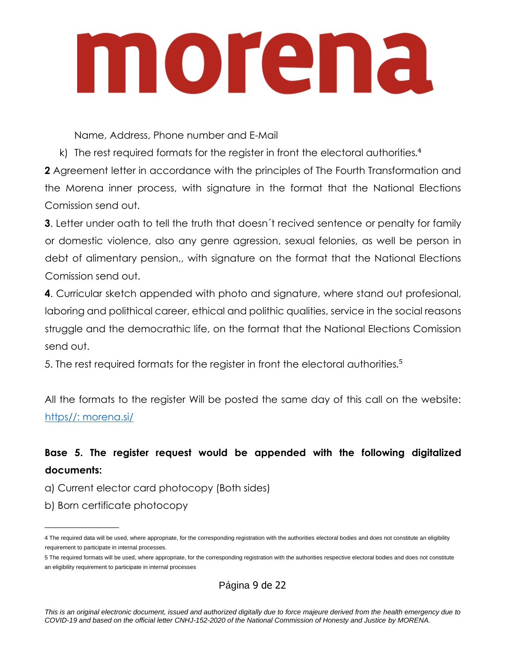Name, Address, Phone number and E-Mail

k) The rest required formats for the register in front the electoral authorities.<sup>4</sup>

**2** Agreement letter in accordance with the principles of The Fourth Transformation and the Morena inner process, with signature in the format that the National Elections Comission send out.

**3**. Letter under oath to tell the truth that doesn't recived sentence or penalty for family or domestic violence, also any genre agression, sexual felonies, as well be person in debt of alimentary pension,, with signature on the format that the National Elections Comission send out.

**4**. Curricular sketch appended with photo and signature, where stand out profesional, laboring and polithical career, ethical and polithic qualities, service in the social reasons struggle and the democrathic life, on the format that the National Elections Comission send out.

5. The rest required formats for the register in front the electoral authorities.<sup>5</sup>

All the formats to the register Will be posted the same day of this call on the website: [https//: morena.si/](#page-9-0)

### **Base 5. The register request would be appended with the following digitalized documents:**

- a) Current elector card photocopy (Both sides)
- b) Born certificate photocopy

 $\overline{\phantom{a}}$  , where  $\overline{\phantom{a}}$ 

Página 9 de 22

*This is an original electronic document, issued and authorized digitally due to force majeure derived from the health emergency due to COVID-19 and based on the official letter CNHJ-152-2020 of the National Commission of Honesty and Justice by MORENA.*

<sup>4</sup> The required data will be used, where appropriate, for the corresponding registration with the authorities electoral bodies and does not constitute an eligibility requirement to participate in internal processes.

<sup>5</sup> The required formats will be used, where appropriate, for the corresponding registration with the authorities respective electoral bodies and does not constitute an eligibility requirement to participate in internal processes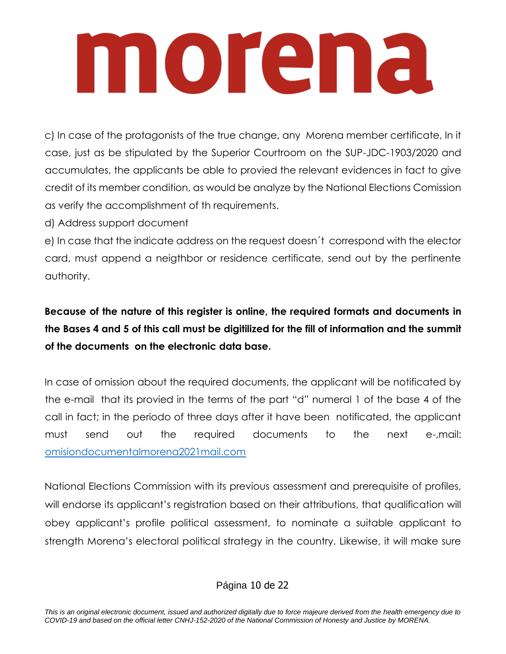c) In case of the protagonists of the true change, any Morena member certificate, In it case, just as be stipulated by the Superior Courtroom on the SUP-JDC-1903/2020 and accumulates, the applicants be able to provied the relevant evidences in fact to give credit of its member condition, as would be analyze by the National Elections Comission as verify the accomplishment of th requirements.

d) Address support document

e) In case that the indicate address on the request doesn´t correspond with the elector card, must append a neigthbor or residence certificate, send out by the pertinente authority.

**Because of the nature of this register is online, the required formats and documents in the Bases 4 and 5 of this call must be digitilized for the fill of information and the summit of the documents on the electronic data base.**

In case of omission about the required documents, the applicant will be notificated by the e-mail that its provied in the terms of the part "d" numeral 1 of the base 4 of the call in fact; in the periodo of three days after it have been notificated, the applicant must send out the required documents to the next e-,mail: [omisiondocumentalmorena2021mail.com](#page-9-0)

<span id="page-9-0"></span>National Elections Commission with its previous assessment and prerequisite of profiles, will endorse its applicant's registration based on their attributions, that qualification will obey applicant's profile political assessment, to nominate a suitable applicant to strength Morena's electoral political strategy in the country. Likewise, it will make sure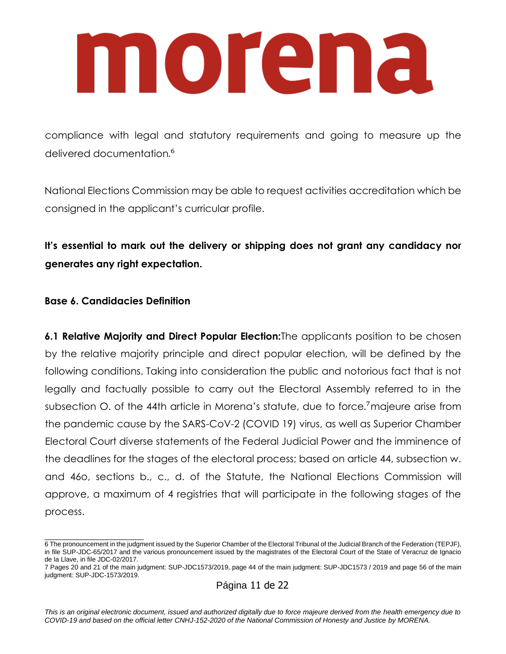### nnoirema

compliance with legal and statutory requirements and going to measure up the delivered documentation. 6

National Elections Commission may be able to request activities accreditation which be consigned in the applicant's curricular profile.

**It's essential to mark out the delivery or shipping does not grant any candidacy nor generates any right expectation.**

### **Base 6. Candidacies Definition**

\_\_\_\_\_\_\_\_\_\_\_\_\_\_\_\_\_\_\_\_\_\_\_\_

**6.1 Relative Majority and Direct Popular Election:**The applicants position to be chosen by the relative majority principle and direct popular election, will be defined by the following conditions. Taking into consideration the public and notorious fact that is not legally and factually possible to carry out the Electoral Assembly referred to in the subsection O. of the 44th article in Morena's statute, due to force. <sup>7</sup>majeure arise from the pandemic cause by the SARS-CoV-2 (COVID 19) virus, as well as Superior Chamber Electoral Court diverse statements of the Federal Judicial Power and the imminence of the deadlines for the stages of the electoral process; based on article 44, subsection w. and 46o, sections b., c., d. of the Statute, the National Elections Commission will approve, a maximum of 4 registries that will participate in the following stages of the process.

Página 11 de 22

<sup>6</sup> The pronouncement in the judgment issued by the Superior Chamber of the Electoral Tribunal of the Judicial Branch of the Federation (TEPJF), in file SUP-JDC-65/2017 and the various pronouncement issued by the magistrates of the Electoral Court of the State of Veracruz de Ignacio de la Llave, in file JDC-02/2017.

<sup>7</sup> Pages 20 and 21 of the main judgment: SUP-JDC1573/2019, page 44 of the main judgment: SUP-JDC1573 / 2019 and page 56 of the main judgment: SUP-JDC-1573/2019.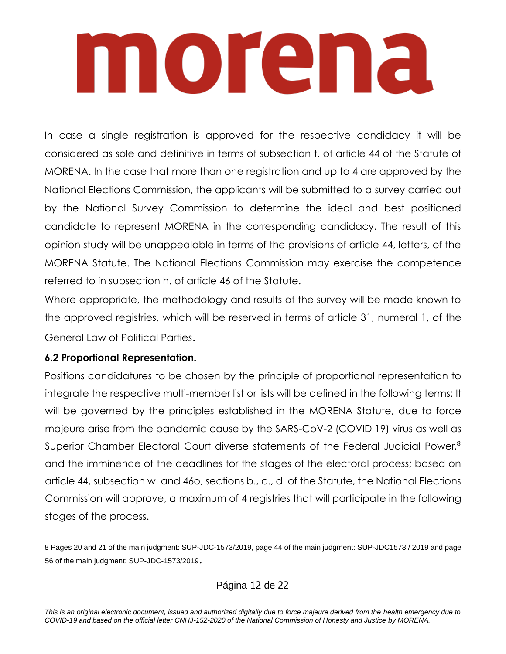In case a single registration is approved for the respective candidacy it will be considered as sole and definitive in terms of subsection t. of article 44 of the Statute of MORENA. In the case that more than one registration and up to 4 are approved by the National Elections Commission, the applicants will be submitted to a survey carried out by the National Survey Commission to determine the ideal and best positioned candidate to represent MORENA in the corresponding candidacy. The result of this opinion study will be unappealable in terms of the provisions of article 44, letters, of the MORENA Statute. The National Elections Commission may exercise the competence referred to in subsection h. of article 46 of the Statute.

Where appropriate, the methodology and results of the survey will be made known to the approved registries, which will be reserved in terms of article 31, numeral 1, of the General Law of Political Parties.

### **6.2 Proportional Representation.**

 $\overline{\phantom{a}}$  , which is a set of the set of the set of the set of the set of the set of the set of the set of the set of the set of the set of the set of the set of the set of the set of the set of the set of the set of th

Positions candidatures to be chosen by the principle of proportional representation to integrate the respective multi-member list or lists will be defined in the following terms: It will be governed by the principles established in the MORENA Statute, due to force majeure arise from the pandemic cause by the SARS-CoV-2 (COVID 19) virus as well as Superior Chamber Electoral Court diverse statements of the Federal Judicial Power.<sup>8</sup> and the imminence of the deadlines for the stages of the electoral process; based on article 44, subsection w. and 46o, sections b., c., d. of the Statute, the National Elections Commission will approve, a maximum of 4 registries that will participate in the following stages of the process.

<sup>8</sup> Pages 20 and 21 of the main judgment: SUP-JDC-1573/2019, page 44 of the main judgment: SUP-JDC1573 / 2019 and page 56 of the main judgment: SUP-JDC-1573/2019.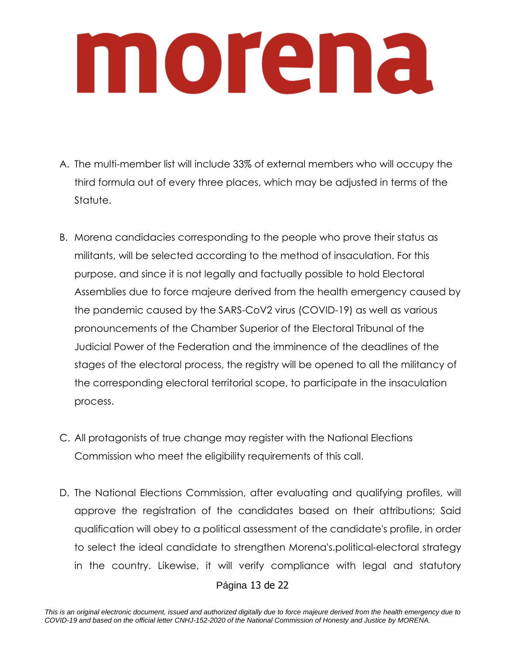- A. The multi-member list will include 33% of external members who will occupy the third formula out of every three places, which may be adjusted in terms of the Statute.
- B. Morena candidacies corresponding to the people who prove their status as militants, will be selected according to the method of insaculation. For this purpose, and since it is not legally and factually possible to hold Electoral Assemblies due to force majeure derived from the health emergency caused by the pandemic caused by the SARS-CoV2 virus (COVID-19) as well as various pronouncements of the Chamber Superior of the Electoral Tribunal of the Judicial Power of the Federation and the imminence of the deadlines of the stages of the electoral process, the registry will be opened to all the militancy of the corresponding electoral territorial scope, to participate in the insaculation process.
- C. All protagonists of true change may register with the National Elections Commission who meet the eligibility requirements of this call.
- D. The National Elections Commission, after evaluating and qualifying profiles, will approve the registration of the candidates based on their attributions; Said qualification will obey to a political assessment of the candidate's profile, in order to select the ideal candidate to strengthen Morena's.political-electoral strategy in the country. Likewise, it will verify compliance with legal and statutory

### Página 13 de 22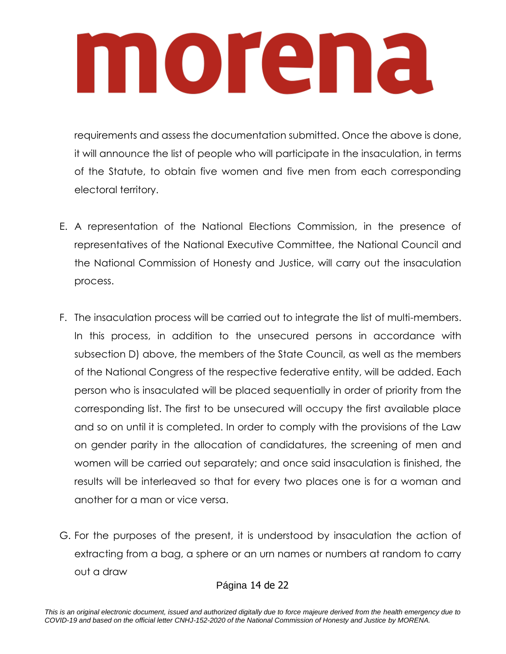requirements and assess the documentation submitted. Once the above is done, it will announce the list of people who will participate in the insaculation, in terms of the Statute, to obtain five women and five men from each corresponding electoral territory.

- E. A representation of the National Elections Commission, in the presence of representatives of the National Executive Committee, the National Council and the National Commission of Honesty and Justice, will carry out the insaculation process.
- F. The insaculation process will be carried out to integrate the list of multi-members. In this process, in addition to the unsecured persons in accordance with subsection D) above, the members of the State Council, as well as the members of the National Congress of the respective federative entity, will be added. Each person who is insaculated will be placed sequentially in order of priority from the corresponding list. The first to be unsecured will occupy the first available place and so on until it is completed. In order to comply with the provisions of the Law on gender parity in the allocation of candidatures, the screening of men and women will be carried out separately; and once said insaculation is finished, the results will be interleaved so that for every two places one is for a woman and another for a man or vice versa.
- G. For the purposes of the present, it is understood by insaculation the action of extracting from a bag, a sphere or an urn names or numbers at random to carry out a draw

### Página 14 de 22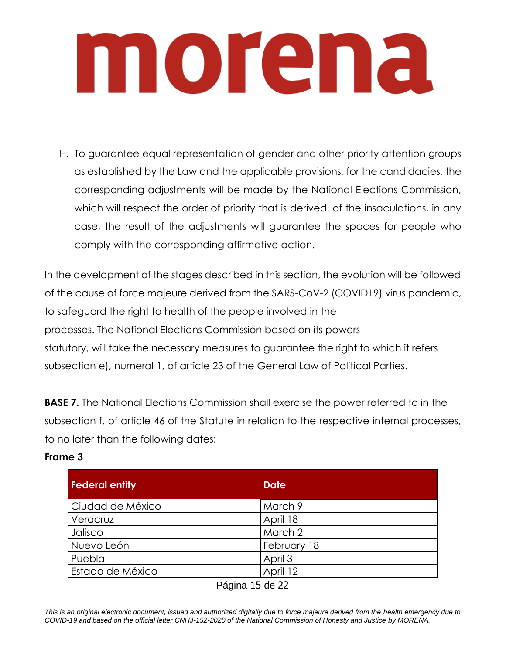H. To guarantee equal representation of gender and other priority attention groups as established by the Law and the applicable provisions, for the candidacies, the corresponding adjustments will be made by the National Elections Commission, which will respect the order of priority that is derived, of the insaculations, in any case, the result of the adjustments will guarantee the spaces for people who comply with the corresponding affirmative action.

In the development of the stages described in this section, the evolution will be followed of the cause of force majeure derived from the SARS-CoV-2 (COVID19) virus pandemic, to safeguard the right to health of the people involved in the processes. The National Elections Commission based on its powers statutory, will take the necessary measures to guarantee the right to which it refers subsection e), numeral 1, of article 23 of the General Law of Political Parties.

**BASE 7.** The National Elections Commission shall exercise the power referred to in the subsection f. of article 46 of the Statute in relation to the respective internal processes, to no later than the following dates:

### **Frame 3**

| <b>Federal entity</b>   | <b>Date</b> |
|-------------------------|-------------|
| Ciudad de México        | March 9     |
| Veracruz                | April 18    |
| Jalisco                 | March 2     |
| Nuevo León              | February 18 |
| Puebla                  | April 3     |
| <b>Estado de México</b> | April 12    |

Página 15 de 22

*This is an original electronic document, issued and authorized digitally due to force majeure derived from the health emergency due to COVID-19 and based on the official letter CNHJ-152-2020 of the National Commission of Honesty and Justice by MORENA.*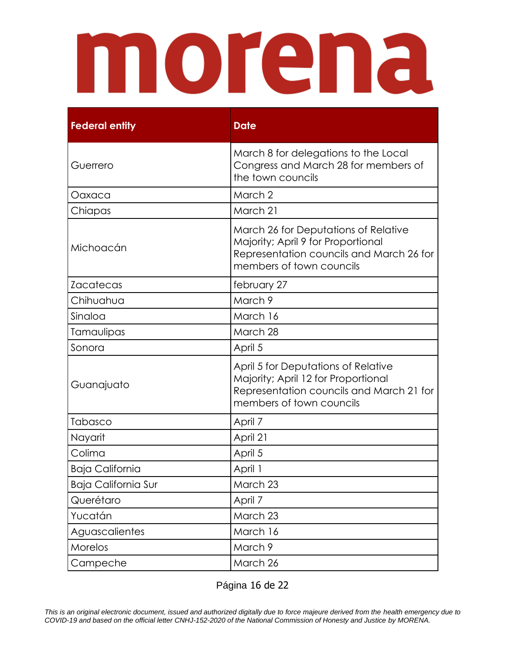| <b>Federal entity</b>      | <b>Date</b>                                                                                                                                        |
|----------------------------|----------------------------------------------------------------------------------------------------------------------------------------------------|
| Guerrero                   | March 8 for delegations to the Local<br>Congress and March 28 for members of<br>the town councils                                                  |
| Oaxaca                     | March 2                                                                                                                                            |
| Chiapas                    | March 21                                                                                                                                           |
| Michoacán                  | March 26 for Deputations of Relative<br>Majority; April 9 for Proportional<br>Representation councils and March 26 for<br>members of town councils |
| <b>Zacatecas</b>           | february 27                                                                                                                                        |
| Chihuahua                  | March 9                                                                                                                                            |
| Sinaloa                    | March 16                                                                                                                                           |
| Tamaulipas                 | March 28                                                                                                                                           |
| Sonora                     | April 5                                                                                                                                            |
| Guanajuato                 | April 5 for Deputations of Relative<br>Majority; April 12 for Proportional<br>Representation councils and March 21 for<br>members of town councils |
| Tabasco                    | April 7                                                                                                                                            |
| Nayarit                    | April 21                                                                                                                                           |
| Colima                     | April 5                                                                                                                                            |
| <b>Baja California</b>     | April 1                                                                                                                                            |
| <b>Baja California Sur</b> | March 23                                                                                                                                           |
| Querétaro                  | April 7                                                                                                                                            |
| Yucatán                    | March 23                                                                                                                                           |
| Aguascalientes             | March 16                                                                                                                                           |
| Morelos                    | March 9                                                                                                                                            |
| Campeche                   | March 26                                                                                                                                           |

Página 16 de 22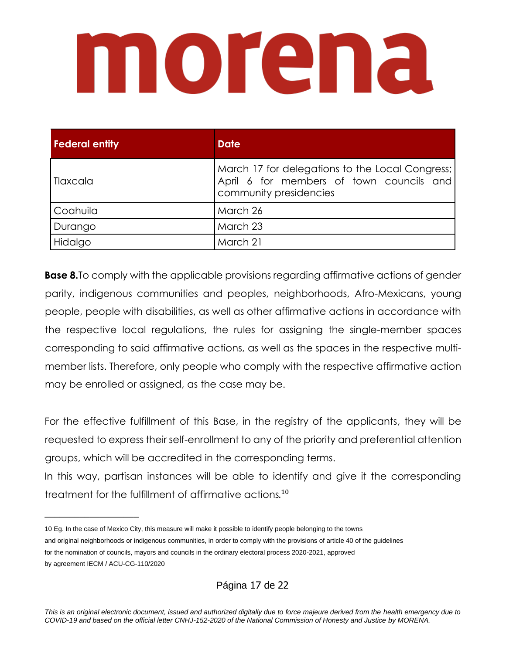# morana

| <b>Federal entity</b> | <b>Date</b>                                                                                                           |
|-----------------------|-----------------------------------------------------------------------------------------------------------------------|
| Tlaxcala              | March 17 for delegations to the Local Congress;<br>April 6 for members of town councils and<br>community presidencies |
| Coahuila              | March 26                                                                                                              |
| Durango               | March 23                                                                                                              |
| Hidalgo               | March 21                                                                                                              |

**Base 8.**To comply with the applicable provisions regarding affirmative actions of gender parity, indigenous communities and peoples, neighborhoods, Afro-Mexicans, young people, people with disabilities, as well as other affirmative actions in accordance with the respective local regulations, the rules for assigning the single-member spaces corresponding to said affirmative actions, as well as the spaces in the respective multimember lists. Therefore, only people who comply with the respective affirmative action may be enrolled or assigned, as the case may be.

For the effective fulfillment of this Base, in the registry of the applicants, they will be requested to express their self-enrollment to any of the priority and preferential attention groups, which will be accredited in the corresponding terms.

In this way, partisan instances will be able to identify and give it the corresponding treatment for the fulfillment of affirmative actions. 10

 $\_$ 

Página 17 de 22

<sup>10</sup> Eg. In the case of Mexico City, this measure will make it possible to identify people belonging to the towns and original neighborhoods or indigenous communities, in order to comply with the provisions of article 40 of the guidelines for the nomination of councils, mayors and councils in the ordinary electoral process 2020-2021, approved by agreement IECM / ACU-CG-110/2020

*This is an original electronic document, issued and authorized digitally due to force majeure derived from the health emergency due to COVID-19 and based on the official letter CNHJ-152-2020 of the National Commission of Honesty and Justice by MORENA.*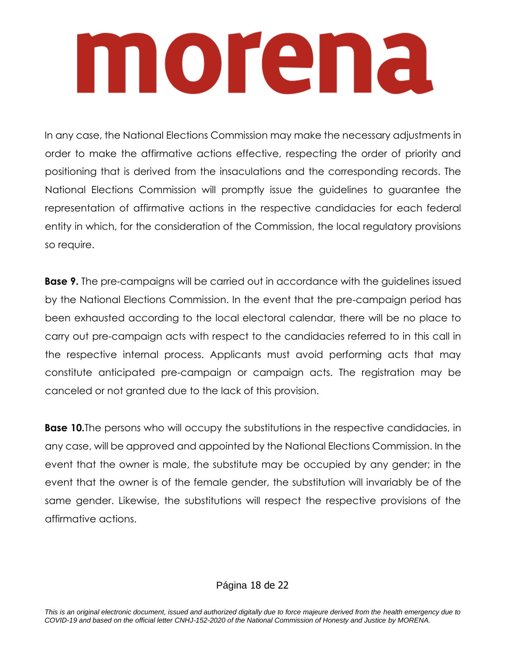In any case, the National Elections Commission may make the necessary adjustments in order to make the affirmative actions effective, respecting the order of priority and positioning that is derived from the insaculations and the corresponding records. The National Elections Commission will promptly issue the guidelines to guarantee the representation of affirmative actions in the respective candidacies for each federal entity in which, for the consideration of the Commission, the local regulatory provisions so require.

**Base 9.** The pre-campaigns will be carried out in accordance with the guidelines issued by the National Elections Commission. In the event that the pre-campaign period has been exhausted according to the local electoral calendar, there will be no place to carry out pre-campaign acts with respect to the candidacies referred to in this call in the respective internal process. Applicants must avoid performing acts that may constitute anticipated pre-campaign or campaign acts. The registration may be canceled or not granted due to the lack of this provision.

**Base 10.**The persons who will occupy the substitutions in the respective candidacies, in any case, will be approved and appointed by the National Elections Commission. In the event that the owner is male, the substitute may be occupied by any gender; in the event that the owner is of the female gender, the substitution will invariably be of the same gender. Likewise, the substitutions will respect the respective provisions of the affirmative actions.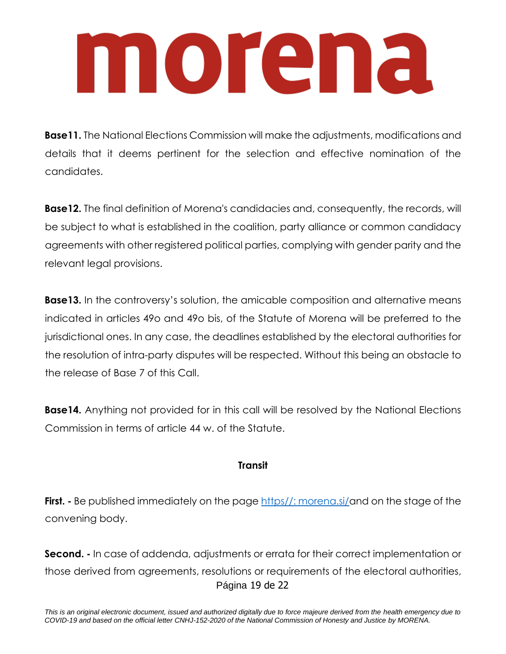**Base11.** The National Elections Commission will make the adjustments, modifications and details that it deems pertinent for the selection and effective nomination of the candidates.

**Base12.** The final definition of Morena's candidacies and, consequently, the records, will be subject to what is established in the coalition, party alliance or common candidacy agreements with other registered political parties, complying with gender parity and the relevant legal provisions.

**Base13.** In the controversy's solution, the amicable composition and alternative means indicated in articles 49o and 49o bis, of the Statute of Morena will be preferred to the jurisdictional ones. In any case, the deadlines established by the electoral authorities for the resolution of intra-party disputes will be respected. Without this being an obstacle to the release of Base 7 of this Call.

**Base14.** Anything not provided for in this call will be resolved by the National Elections Commission in terms of article 44 w. of the Statute.

### **Transit**

**First.** - Be published immediately on the page [https//: morena.si/a](#page-9-0)nd on the stage of the convening body.

Página 19 de 22 **Second. -** In case of addenda, adjustments or errata for their correct implementation or those derived from agreements, resolutions or requirements of the electoral authorities,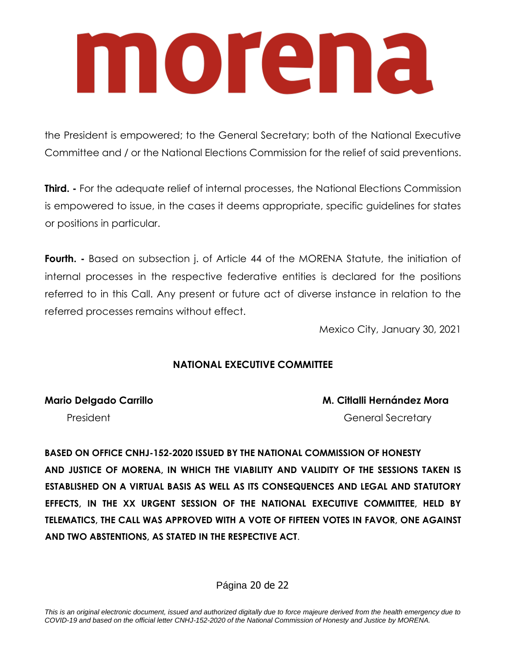the President is empowered; to the General Secretary; both of the National Executive Committee and / or the National Elections Commission for the relief of said preventions.

**Third.** - For the adequate relief of internal processes, the National Elections Commission is empowered to issue, in the cases it deems appropriate, specific guidelines for states or positions in particular.

**Fourth.** - Based on subsection j. of Article 44 of the MORENA Statute, the initiation of internal processes in the respective federative entities is declared for the positions referred to in this Call. Any present or future act of diverse instance in relation to the referred processes remains without effect.

Mexico City, January 30, 2021

### **NATIONAL EXECUTIVE COMMITTEE**

**Mario Delgado Carrillo M. Citlalli Hernández Mora**

President General Secretary

**BASED ON OFFICE CNHJ-152-2020 ISSUED BY THE NATIONAL COMMISSION OF HONESTY AND JUSTICE OF MORENA, IN WHICH THE VIABILITY AND VALIDITY OF THE SESSIONS TAKEN IS ESTABLISHED ON A VIRTUAL BASIS AS WELL AS ITS CONSEQUENCES AND LEGAL AND STATUTORY EFFECTS, IN THE XX URGENT SESSION OF THE NATIONAL EXECUTIVE COMMITTEE, HELD BY TELEMATICS, THE CALL WAS APPROVED WITH A VOTE OF FIFTEEN VOTES IN FAVOR, ONE AGAINST AND TWO ABSTENTIONS, AS STATED IN THE RESPECTIVE ACT**.

Página 20 de 22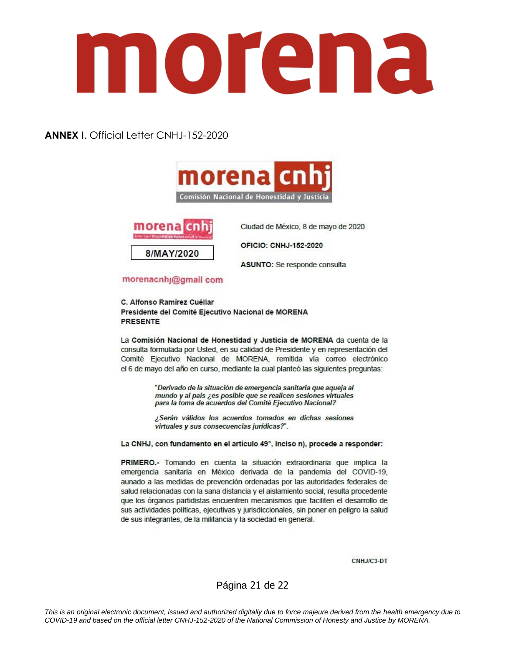**ANNEX I**. Official Letter CNHJ-152-2020





Ciudad de México, 8 de mayo de 2020

**OFICIO: CNHJ-152-2020** 

ASUNTO: Se responde consulta

### morenacnhj@gmail com

C. Alfonso Ramírez Cuéllar Presidente del Comité Ejecutivo Nacional de MORENA **PRESENTE** 

La Comisión Nacional de Honestidad y Justicia de MORENA da cuenta de la consulta formulada por Usted, en su calidad de Presidente y en representación del Comité Ejecutivo Nacional de MORENA, remitida vía correo electrónico el 6 de mayo del año en curso, mediante la cual planteó las siguientes preguntas:

> "Derivado de la situación de emergencia sanitaria que aqueja al mundo y al país ¿es posible que se realicen sesiones virtuales para la toma de acuerdos del Comité Ejecutivo Nacional?

> ¿Serán válidos los acuerdos tomados en dichas sesiones virtuales y sus consecuencias jurídicas?".

La CNHJ, con fundamento en el artículo 49°, inciso n), procede a responder:

PRIMERO.- Tomando en cuenta la situación extraordinaria que implica la emergencia sanitaria en México derivada de la pandemia del COVID-19, aunado a las medidas de prevención ordenadas por las autoridades federales de salud relacionadas con la sana distancia y el aislamiento social, resulta procedente que los órganos partidistas encuentren mecanismos que faciliten el desarrollo de sus actividades políticas, ejecutivas y jurisdiccionales, sin poner en peligro la salud de sus integrantes, de la militancia y la sociedad en general.

CNHJ/C3-DT

Página 21 de 22